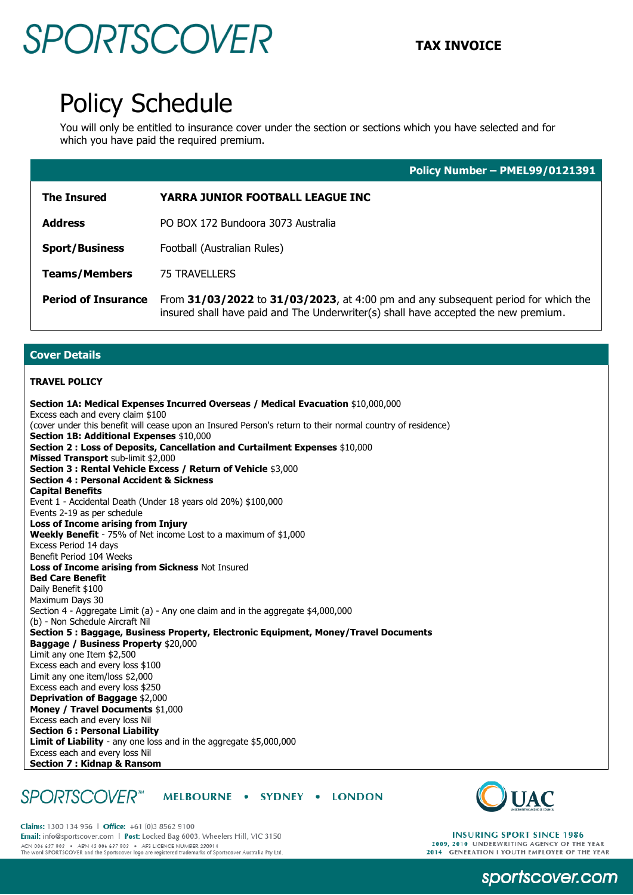## **TAX INVOICE**

### Policy Schedule

You will only be entitled to insurance cover under the section or sections which you have selected and for which you have paid the required premium.

|                            | Policy Number - PMEL99/0121391                                                                                                                                           |
|----------------------------|--------------------------------------------------------------------------------------------------------------------------------------------------------------------------|
| <b>The Insured</b>         | <b>YARRA JUNIOR FOOTBALL LEAGUE INC</b>                                                                                                                                  |
| <b>Address</b>             | PO BOX 172 Bundoora 3073 Australia                                                                                                                                       |
| <b>Sport/Business</b>      | Football (Australian Rules)                                                                                                                                              |
| <b>Teams/Members</b>       | <b>75 TRAVELLERS</b>                                                                                                                                                     |
| <b>Period of Insurance</b> | From 31/03/2022 to 31/03/2023, at 4:00 pm and any subsequent period for which the<br>insured shall have paid and The Underwriter(s) shall have accepted the new premium. |

### **Cover Details**

#### **TRAVEL POLICY**

**Section 1A: Medical Expenses Incurred Overseas / Medical Evacuation** \$10,000,000 Excess each and every claim \$100 (cover under this benefit will cease upon an Insured Person's return to their normal country of residence) **Section 1B: Additional Expenses** \$10,000 **Section 2 : Loss of Deposits, Cancellation and Curtailment Expenses** \$10,000 **Missed Transport** sub-limit \$2,000 **Section 3 : Rental Vehicle Excess / Return of Vehicle** \$3,000 **Section 4 : Personal Accident & Sickness Capital Benefits**  Event 1 - Accidental Death (Under 18 years old 20%) \$100,000 Events 2-19 as per schedule **Loss of Income arising from Injury Weekly Benefit** - 75% of Net income Lost to a maximum of \$1,000 Excess Period 14 days Benefit Period 104 Weeks **Loss of Income arising from Sickness** Not Insured **Bed Care Benefit**  Daily Benefit \$100 Maximum Days 30 Section 4 - Aggregate Limit (a) - Any one claim and in the aggregate \$4,000,000 (b) - Non Schedule Aircraft Nil **Section 5 : Baggage, Business Property, Electronic Equipment, Money/Travel Documents Baggage / Business Property** \$20,000 Limit any one Item \$2,500 Excess each and every loss \$100 Limit any one item/loss \$2,000 Excess each and every loss \$250 **Deprivation of Baggage** \$2,000 **Money / Travel Documents** \$1,000 Excess each and every loss Nil **Section 6 : Personal Liability Limit of Liability** - any one loss and in the aggregate \$5,000,000 Excess each and every loss Nil **Section 7 : Kidnap & Ransom** 

#### *SPORTSCOVER*<sup>™</sup> MELBOURNE . SYDNEY . LONDON



Claims: 1300 134 956 | Office: +61 (0)3 8562 9100 Email: info@sportscover.com | Post: Locked Bag 6003, Wheelers Hill, VIC 3150 ACN 006 637 903 ABN 43 006 637 903 AFS LICENCE NUMBER 230914<br>The word SPORTSCOVER and the Sportscover logo are registered trademarks of Sportscover Australia Pty Ltd.

**INSURING SPORT SINCE 1986** 2009, 2010 UNDERWRITING AGENCY OF THE YEAR 2014 GENERATION I YOUTH EMPLOYER OF THE YEAR

sportscover.com